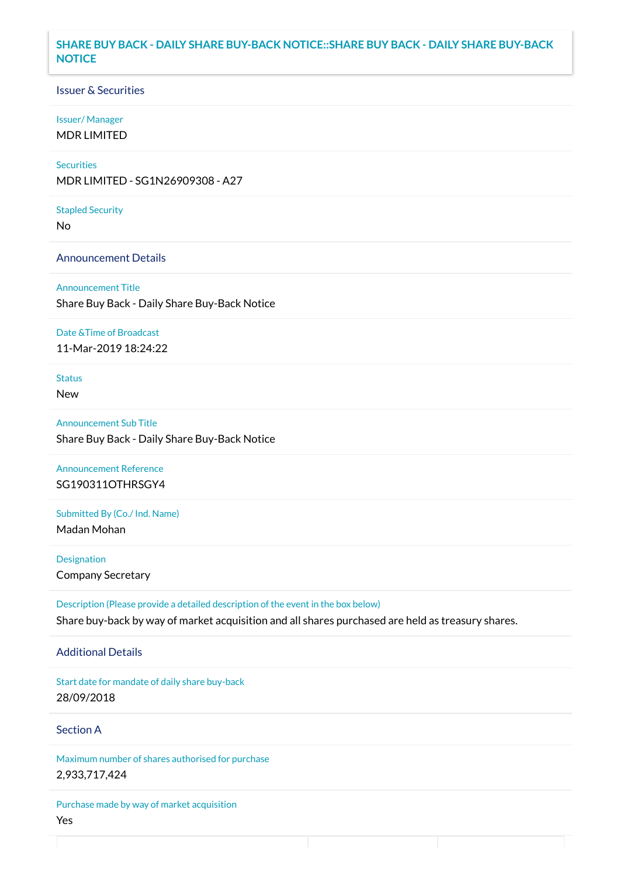## **SHARE BUY BACK - DAILY SHARE BUY-BACK NOTICE::SHARE BUY BACK - DAILY SHARE BUY-BACK NOTICE**

### Issuer & Securities

#### Issuer/ Manager

MDR LIMITED

# **Securities**

MDR LIMITED - SG1N26909308 - A27

#### Stapled Security

No

### Announcement Details

Announcement Title Share Buy Back - Daily Share Buy-Back Notice

#### Date &Time of Broadcast

11-Mar-2019 18:24:22

# Status

New

Announcement Sub Title Share Buy Back - Daily Share Buy-Back Notice

# Announcement Reference SG190311OTHRSGY4

Submitted By (Co./ Ind. Name)

Madan Mohan

**Designation** Company Secretary

Description (Please provide a detailed description of the event in the box below) Share buy-back by way of market acquisition and all shares purchased are held as treasury shares.

### Additional Details

Start date for mandate of daily share buy-back 28/09/2018

## Section A

Maximum number of shares authorised for purchase 2,933,717,424

Purchase made by way of market acquisition Yes